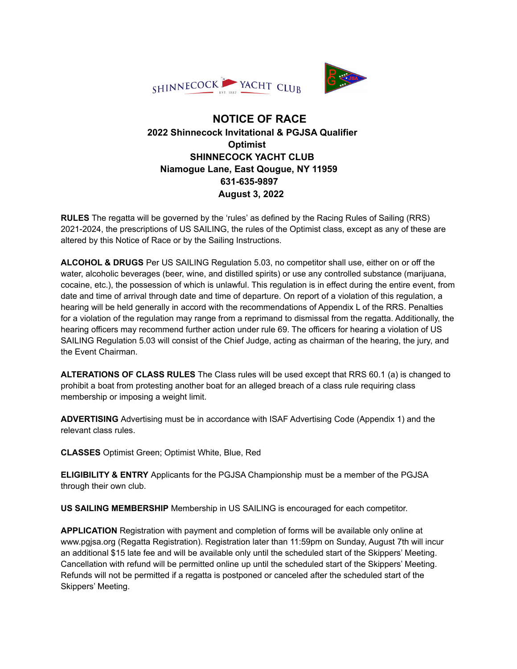



## **NOTICE OF RACE 2022 Shinnecock Invitational & PGJSA Qualifier Optimist SHINNECOCK YACHT CLUB Niamogue Lane, East Qougue, NY 11959 631-635-9897 August 3, 2022**

**RULES** The regatta will be governed by the 'rules' as defined by the Racing Rules of Sailing (RRS) 2021-2024, the prescriptions of US SAILING, the rules of the Optimist class, except as any of these are altered by this Notice of Race or by the Sailing Instructions.

**ALCOHOL & DRUGS** Per US SAILING Regulation 5.03, no competitor shall use, either on or off the water, alcoholic beverages (beer, wine, and distilled spirits) or use any controlled substance (marijuana, cocaine, etc.), the possession of which is unlawful. This regulation is in effect during the entire event, from date and time of arrival through date and time of departure. On report of a violation of this regulation, a hearing will be held generally in accord with the recommendations of Appendix L of the RRS. Penalties for a violation of the regulation may range from a reprimand to dismissal from the regatta. Additionally, the hearing officers may recommend further action under rule 69. The officers for hearing a violation of US SAILING Regulation 5.03 will consist of the Chief Judge, acting as chairman of the hearing, the jury, and the Event Chairman.

**ALTERATIONS OF CLASS RULES** The Class rules will be used except that RRS 60.1 (a) is changed to prohibit a boat from protesting another boat for an alleged breach of a class rule requiring class membership or imposing a weight limit.

**ADVERTISING** Advertising must be in accordance with ISAF Advertising Code (Appendix 1) and the relevant class rules.

**CLASSES** Optimist Green; Optimist White, Blue, Red

**ELIGIBILITY & ENTRY** Applicants for the PGJSA Championship must be a member of the PGJSA through their own club.

**US SAILING MEMBERSHIP** Membership in US SAILING is encouraged for each competitor.

**APPLICATION** Registration with payment and completion of forms will be available only online at www.pgjsa.org (Regatta Registration). Registration later than 11:59pm on Sunday, August 7th will incur an additional \$15 late fee and will be available only until the scheduled start of the Skippers' Meeting. Cancellation with refund will be permitted online up until the scheduled start of the Skippers' Meeting. Refunds will not be permitted if a regatta is postponed or canceled after the scheduled start of the Skippers' Meeting.